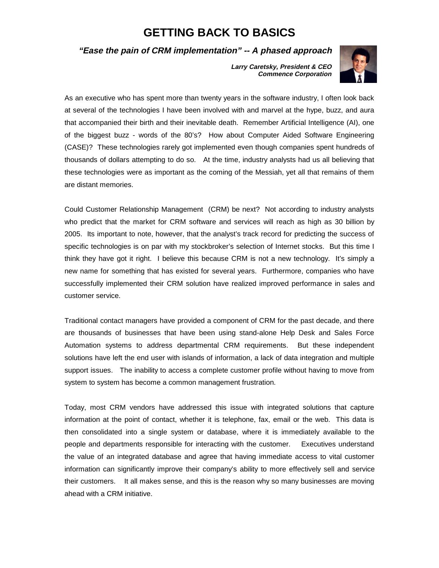# **GETTING BACK TO BASICS**

## **"Ease the pain of CRM implementation" -- A phased approach**

**Larry Caretsky, President & CEO Commence Corporation**



As an executive who has spent more than twenty years in the software industry, I often look back at several of the technologies I have been involved with and marvel at the hype, buzz, and aura that accompanied their birth and their inevitable death. Remember Artificial Intelligence (AI), one of the biggest buzz - words of the 80's? How about Computer Aided Software Engineering (CASE)? These technologies rarely got implemented even though companies spent hundreds of thousands of dollars attempting to do so. At the time, industry analysts had us all believing that these technologies were as important as the coming of the Messiah, yet all that remains of them are distant memories.

Could Customer Relationship Management (CRM) be next? Not according to industry analysts who predict that the market for CRM software and services will reach as high as 30 billion by 2005. Its important to note, however, that the analyst's track record for predicting the success of specific technologies is on par with my stockbroker's selection of Internet stocks. But this time I think they have got it right. I believe this because CRM is not a new technology. It's simply a new name for something that has existed for several years. Furthermore, companies who have successfully implemented their CRM solution have realized improved performance in sales and customer service.

Traditional contact managers have provided a component of CRM for the past decade, and there are thousands of businesses that have been using stand-alone Help Desk and Sales Force Automation systems to address departmental CRM requirements. But these independent solutions have left the end user with islands of information, a lack of data integration and multiple support issues. The inability to access a complete customer profile without having to move from system to system has become a common management frustration.

Today, most CRM vendors have addressed this issue with integrated solutions that capture information at the point of contact, whether it is telephone, fax, email or the web. This data is then consolidated into a single system or database, where it is immediately available to the people and departments responsible for interacting with the customer. Executives understand the value of an integrated database and agree that having immediate access to vital customer information can significantly improve their company's ability to more effectively sell and service their customers. It all makes sense, and this is the reason why so many businesses are moving ahead with a CRM initiative.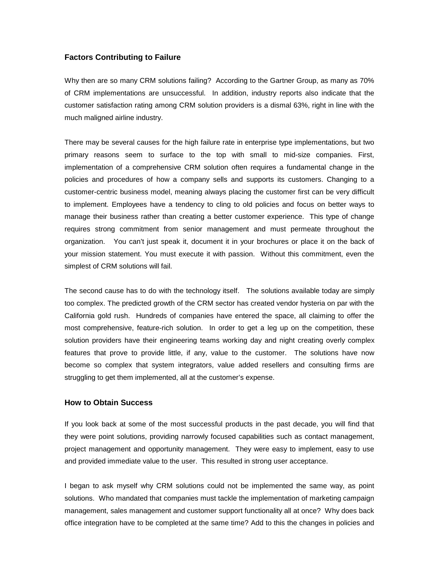## **Factors Contributing to Failure**

Why then are so many CRM solutions failing? According to the Gartner Group, as many as 70% of CRM implementations are unsuccessful. In addition, industry reports also indicate that the customer satisfaction rating among CRM solution providers is a dismal 63%, right in line with the much maligned airline industry.

There may be several causes for the high failure rate in enterprise type implementations, but two primary reasons seem to surface to the top with small to mid-size companies. First, implementation of a comprehensive CRM solution often requires a fundamental change in the policies and procedures of how a company sells and supports its customers. Changing to a customer-centric business model, meaning always placing the customer first can be very difficult to implement. Employees have a tendency to cling to old policies and focus on better ways to manage their business rather than creating a better customer experience. This type of change requires strong commitment from senior management and must permeate throughout the organization. You can't just speak it, document it in your brochures or place it on the back of your mission statement. You must execute it with passion. Without this commitment, even the simplest of CRM solutions will fail.

The second cause has to do with the technology itself. The solutions available today are simply too complex. The predicted growth of the CRM sector has created vendor hysteria on par with the California gold rush. Hundreds of companies have entered the space, all claiming to offer the most comprehensive, feature-rich solution. In order to get a leg up on the competition, these solution providers have their engineering teams working day and night creating overly complex features that prove to provide little, if any, value to the customer. The solutions have now become so complex that system integrators, value added resellers and consulting firms are struggling to get them implemented, all at the customer's expense.

#### **How to Obtain Success**

If you look back at some of the most successful products in the past decade, you will find that they were point solutions, providing narrowly focused capabilities such as contact management, project management and opportunity management. They were easy to implement, easy to use and provided immediate value to the user. This resulted in strong user acceptance.

I began to ask myself why CRM solutions could not be implemented the same way, as point solutions. Who mandated that companies must tackle the implementation of marketing campaign management, sales management and customer support functionality all at once? Why does back office integration have to be completed at the same time? Add to this the changes in policies and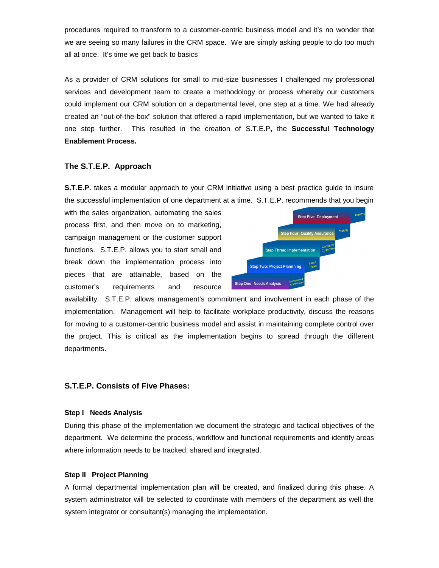procedures required to transform to a customer-centric business model and it's no wonder that we are seeing so many failures in the CRM space. We are simply asking people to do too much all at once. It's time we get back to basics

As a provider of CRM solutions for small to mid-size businesses I challenged my professional services and development team to create a methodology or process whereby our customers could implement our CRM solution on a departmental level, one step at a time. We had already created an "out-of-the-box" solution that offered a rapid implementation, but we wanted to take it one step further. This resulted in the creation of S.T.E.P**,** the **Successful Technology Enablement Process.** 

## **The S.T.E.P. Approach**

**S.T.E.P.** takes a modular approach to your CRM initiative using a best practice guide to insure the successful implementation of one department at a time. S.T.E.P. recommends that you begin

with the sales organization, automating the sales process first, and then move on to marketing, campaign management or the customer support functions. S.T.E.P. allows you to start small and break down the implementation process into pieces that are attainable, based on the customer's requirements and resource



availability. S.T.E.P. allows management's commitment and involvement in each phase of the implementation. Management will help to facilitate workplace productivity, discuss the reasons for moving to a customer-centric business model and assist in maintaining complete control over the project. This is critical as the implementation begins to spread through the different departments.

## **S.T.E.P. Consists of Five Phases:**

#### **Step I Needs Analysis**

During this phase of the implementation we document the strategic and tactical objectives of the department. We determine the process, workflow and functional requirements and identify areas where information needs to be tracked, shared and integrated.

## **Step II Project Planning**

A formal departmental implementation plan will be created, and finalized during this phase. A system administrator will be selected to coordinate with members of the department as well the system integrator or consultant(s) managing the implementation.